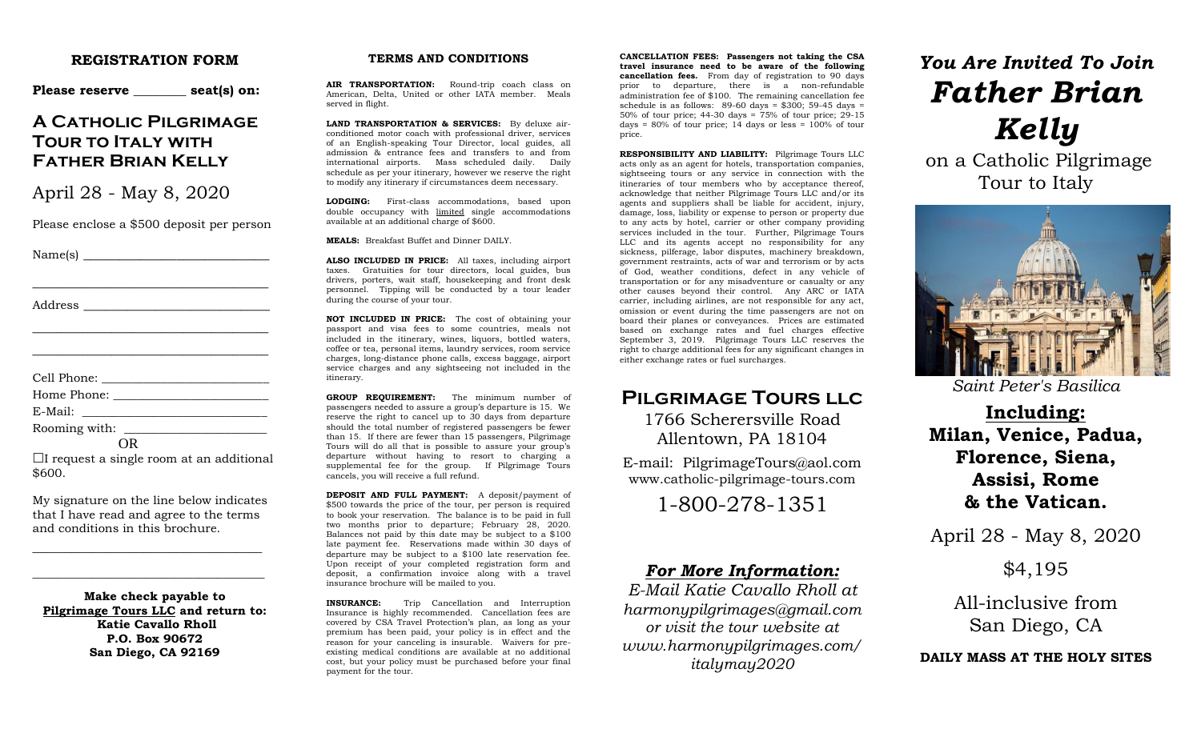#### **REGISTRATION FORM**

Please reserve seat(s) on:

## **A Catholic Pilgrimage Tour to Italy with Father Brian Kelly**

April 28 - May 8, 2020

Please enclose a \$500 deposit per person

\_\_\_\_\_\_\_\_\_\_\_\_\_\_\_\_\_\_\_\_\_\_\_\_\_\_\_\_\_\_\_\_\_

\_\_\_\_\_\_\_\_\_\_\_\_\_\_\_\_\_\_\_\_\_\_\_\_\_\_\_\_\_\_\_\_\_ \_\_\_\_\_\_\_\_\_\_\_\_\_\_\_\_\_\_\_\_\_\_\_\_\_\_\_\_\_\_\_\_\_

Name(s) \_\_\_\_\_\_\_\_\_\_\_\_\_\_\_\_\_\_\_\_\_\_\_\_\_\_

Address \_\_\_\_\_\_\_\_\_\_\_\_\_\_\_\_\_\_\_\_\_\_\_\_\_\_

Cell Phone: \_\_\_\_\_\_\_\_\_\_\_\_\_\_\_\_\_\_\_\_\_\_\_\_\_\_\_\_

| Home Phone: |  |
|-------------|--|
|             |  |

E-Mail: \_\_\_\_\_\_\_\_\_\_\_\_\_\_\_\_\_\_\_\_\_\_\_\_\_\_\_\_\_\_\_

Rooming with:

OR  $\Box$ I request a single room at an additional \$600.

My signature on the line below indicates that I have read and agree to the terms and conditions in this brochure.

\_\_\_\_\_\_\_\_\_\_\_\_\_\_\_\_\_\_\_\_\_\_\_\_\_\_\_\_\_\_\_\_\_\_\_

\_\_\_\_\_\_\_\_\_\_\_\_\_\_\_\_\_\_\_\_\_\_\_\_\_\_\_\_\_\_\_\_\_\_\_\_\_\_\_

**Make check payable to Pilgrimage Tours LLC and return to: Katie Cavallo Rholl P.O. Box 90672 San Diego, CA 92169**

#### **TERMS AND CONDITIONS**

**AIR TRANSPORTATION:** Round-trip coach class on American, Delta, United or other IATA member. Meals served in flight.

**LAND TRANSPORTATION & SERVICES:** By deluxe airconditioned motor coach with professional driver, services of an English-speaking Tour Director, local guides, all admission & entrance fees and transfers to and from international airports. Mass scheduled daily. Daily schedule as per your itinerary, however we reserve the right to modify any itinerary if circumstances deem necessary.

**LODGING:** First-class accommodations, based upon double occupancy with limited single accommodations available at an additional charge of \$600.

**MEALS:** Breakfast Buffet and Dinner DAILY.

**ALSO INCLUDED IN PRICE:** All taxes, including airport taxes. Gratuities for tour directors, local guides, bus drivers, porters, wait staff, housekeeping and front desk personnel. Tipping will be conducted by a tour leader during the course of your tour.

**NOT INCLUDED IN PRICE:** The cost of obtaining your passport and visa fees to some countries, meals not included in the itinerary, wines, liquors, bottled waters, coffee or tea, personal items, laundry services, room service charges, long-distance phone calls, excess baggage, airport service charges and any sightseeing not included in the itinerary.

**GROUP REQUIREMENT:** The minimum number of passengers needed to assure a group's departure is 15. We reserve the right to cancel up to 30 days from departure should the total number of registered passengers be fewer than 15. If there are fewer than 15 passengers, Pilgrimage Tours will do all that is possible to assure your group's departure without having to resort to charging a supplemental fee for the group. If Pilgrimage Tours cancels, you will receive a full refund.

**DEPOSIT AND FULL PAYMENT:** A deposit/payment of \$500 towards the price of the tour, per person is required to book your reservation. The balance is to be paid in full two months prior to departure; February 28, 2020. Balances not paid by this date may be subject to a \$100 late payment fee. Reservations made within 30 days of departure may be subject to a \$100 late reservation fee. Upon receipt of your completed registration form and deposit, a confirmation invoice along with a travel insurance brochure will be mailed to you.

**INSURANCE:** Trip Cancellation and Interruption Insurance is highly recommended. Cancellation fees are covered by CSA Travel Protection's plan, as long as your premium has been paid, your policy is in effect and the reason for your canceling is insurable. Waivers for preexisting medical conditions are available at no additional cost, but your policy must be purchased before your final payment for the tour.

**CANCELLATION FEES: Passengers not taking the CSA travel insurance need to be aware of the following cancellation fees.** From day of registration to 90 days prior to departure, there is a non-refundable administration fee of \$100. The remaining cancellation fee schedule is as follows:  $89-60$  days = \$300: 59-45 days = 50% of tour price; 44-30 days = 75% of tour price; 29-15 days =  $80\%$  of tour price; 14 days or less =  $100\%$  of tour price.

**RESPONSIBILITY AND LIABILITY:** Pilgrimage Tours LLC acts only as an agent for hotels, transportation companies, sightseeing tours or any service in connection with the itineraries of tour members who by acceptance thereof, acknowledge that neither Pilgrimage Tours LLC and/or its agents and suppliers shall be liable for accident, injury, damage, loss, liability or expense to person or property due to any acts by hotel, carrier or other company providing services included in the tour. Further, Pilgrimage Tours LLC and its agents accept no responsibility for any sickness, pilferage, labor disputes, machinery breakdown, government restraints, acts of war and terrorism or by acts of God, weather conditions, defect in any vehicle of transportation or for any misadventure or casualty or any other causes beyond their control. Any ARC or IATA carrier, including airlines, are not responsible for any act, omission or event during the time passengers are not on board their planes or conveyances. Prices are estimated based on exchange rates and fuel charges effective September 3, 2019. Pilgrimage Tours LLC reserves the right to charge additional fees for any significant changes in either exchange rates or fuel surcharges.

# **Pilgrimage Tours llc** 1766 Scherersville Road

Allentown, PA 18104

E-mail: PilgrimageTours@aol.com www.catholic-pilgrimage-tours.com

1-800-278-1351

## *For More Information:*

*E-Mail Katie Cavallo Rholl at harmonypilgrimages@gmail.com or visit the tour website at www.harmonypilgrimages.com/ italymay2020*

# *You Are Invited To Join Father Brian Kelly*

on a Catholic Pilgrimage Tour to Italy



*Saint Peter's Basilica*

**Including: Milan, Venice, Padua, Florence, Siena, Assisi, Rome & the Vatican.**

April 28 - May 8, 2020

\$4,195

All-inclusive from San Diego, CA

## **DAILY MASS AT THE HOLY SITES**